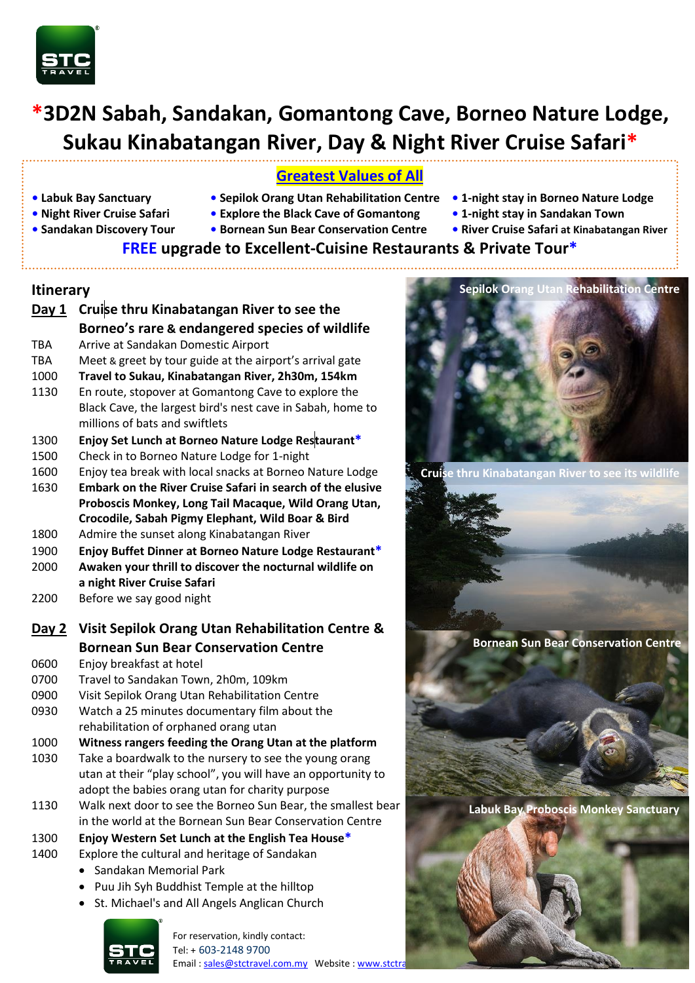

# **\*3D2N Sabah, Sandakan, Gomantong Cave, Borneo Nature Lodge, Sukau Kinabatangan River, Day & Night River Cruise Safari\***

# **Greatest Values of All**

- 
- **• Labuk Bay Sanctuary Sepilok Orang Utan Rehabilitation Centre 1-night stay in Borneo Nature Lodge**
	-
- 
- **Night River Cruise Safari Explore the Black Cave of Gomantong 1-night stay in Sandakan Town**
- 
- **Sandakan Discovery Tour Bornean Sun Bear Conservation Centre • River Cruise Safari at Kinabatangan River**
- -

# **FREE upgrade to Excellent-Cuisine Restaurants & Private Tour\***

#### **Itinerary**

- **Day 1 Cruise thru Kinabatangan River to see the Borneo's rare & endangered species of wildlife** TBA Arrive at Sandakan Domestic Airport TBA Meet & greet by tour guide at the airport's arrival gate 1000 **Travel to Sukau, Kinabatangan River, 2h30m, 154km** 1130 En route, stopover at Gomantong Cave to explore the Black Cave, the largest bird's nest cave in Sabah, home to millions of bats and swiftlets 1300 **Enjoy Set Lunch at Borneo Nature Lodge Restaurant\*** 1500 Check in to Borneo Nature Lodge for 1-night 1600 Enjoy tea break with local snacks at Borneo Nature Lodge 1630 **Embark on the River Cruise Safari in search of the elusive Proboscis Monkey, Long Tail Macaque, Wild Orang Utan, Crocodile, Sabah Pigmy Elephant, Wild Boar & Bird** 1800 Admire the sunset along Kinabatangan River 1900 **Enjoy Buffet Dinner at Borneo Nature Lodge Restaurant\*** 2000 **Awaken your thrill to discover the nocturnal wildlife on**
- **a night River Cruise Safari** 2200 Before we say good night
- **Day 2 Visit Sepilok Orang Utan Rehabilitation Centre & Bornean Sun Bear Conservation Centre**

0600 Enjoy breakfast at hotel

- 0700 Travel to Sandakan Town, 2h0m, 109km
- 0900 Visit Sepilok Orang Utan Rehabilitation Centre
- 0930 Watch a 25 minutes documentary film about the rehabilitation of orphaned orang utan
- 1000 **Witness rangers feeding the Orang Utan at the platform**
- 1030 Take a boardwalk to the nursery to see the young orang utan at their "play school", you will have an opportunity to adopt the babies orang utan for charity purpose
- 1130 Walk next door to see the Borneo Sun Bear, the smallest bear in the world at the Bornean Sun Bear Conservation Centre
- 1300 **Enjoy Western Set Lunch at the English Tea House\***
- 1400 Explore the cultural and heritage of Sandakan
	- Sandakan Memorial Park
	- Puu Jih Syh Buddhist Temple at the hilltop



For reservation, kindly contact: Tel: + 603-2148 9700 Email[: sales@stctravel.com.my](mailto:sales@stctravel.com.my) Website: www.stctr





**Cruise thru Kinabatangan River to see its wildlife**

**Bornean Sun Bear Conservation Centre** 

**Labuk Bay Proboscis Monkey Sanctuary**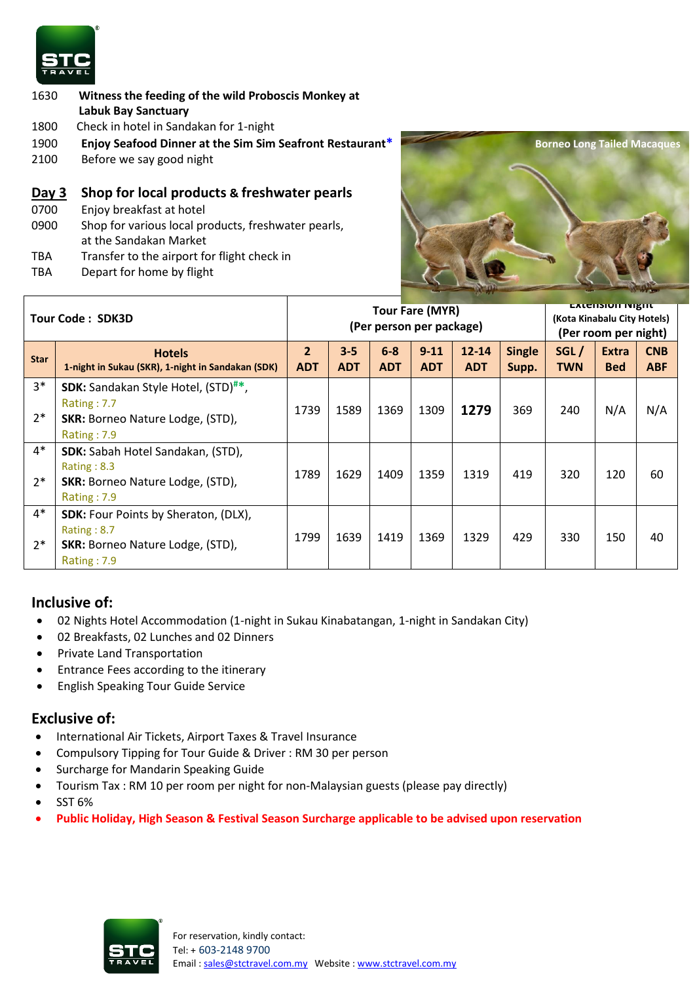

- 1630 **Witness the feeding of the wild Proboscis Monkey at Labuk Bay Sanctuary**
- 1800 Check in hotel in Sandakan for 1-night
- 1900 **Enjoy Seafood Dinner at the Sim Sim Seafront Restaurant\***
- 2100 Before we say good night

#### **Day 3 Shop for local products & freshwater pearls**

- 0700 Enjoy breakfast at hotel
- 0900 Shop for various local products, freshwater pearls, at the Sandakan Market
- TBA Transfer to the airport for flight check in
- TBA Depart for home by flight



| <b>Tour Code: SDK3D</b> |                                                                                                                         | <b>Tour Fare (MYR)</b><br>(Per person per package) |                       |                       |                        |                         |                        | <b>EXTERNIOR INIZIAL</b><br>(Kota Kinabalu City Hotels)<br>(Per room per night) |                            |                          |
|-------------------------|-------------------------------------------------------------------------------------------------------------------------|----------------------------------------------------|-----------------------|-----------------------|------------------------|-------------------------|------------------------|---------------------------------------------------------------------------------|----------------------------|--------------------------|
| <b>Star</b>             | <b>Hotels</b><br>1-night in Sukau (SKR), 1-night in Sandakan (SDK)                                                      | $\overline{2}$<br><b>ADT</b>                       | $3 - 5$<br><b>ADT</b> | $6 - 8$<br><b>ADT</b> | $9 - 11$<br><b>ADT</b> | $12 - 14$<br><b>ADT</b> | <b>Single</b><br>Supp. | SGL/<br><b>TWN</b>                                                              | <b>Extra</b><br><b>Bed</b> | <b>CNB</b><br><b>ABF</b> |
| $3*$                    | <b>SDK:</b> Sandakan Style Hotel, (STD) <sup>#*</sup> ,<br>Rating: 7.7                                                  |                                                    |                       |                       |                        |                         |                        |                                                                                 |                            |                          |
| $2*$                    | <b>SKR: Borneo Nature Lodge, (STD),</b><br>Rating: 7.9                                                                  | 1739                                               | 1589                  | 1369                  | 1309                   | 1279                    | 369                    | 240                                                                             | N/A                        | N/A                      |
| $4*$<br>$2*$            | <b>SDK:</b> Sabah Hotel Sandakan, (STD),<br>Rating : $8.3$<br><b>SKR: Borneo Nature Lodge, (STD),</b><br>Rating: 7.9    | 1789                                               | 1629                  | 1409                  | 1359                   | 1319                    | 419                    | 320                                                                             | 120                        | 60                       |
| $4*$<br>$2*$            | <b>SDK:</b> Four Points by Sheraton, (DLX),<br>Rating : $8.7$<br><b>SKR: Borneo Nature Lodge, (STD),</b><br>Rating: 7.9 | 1799                                               | 1639                  | 1419                  | 1369                   | 1329                    | 429                    | 330                                                                             | 150                        | 40                       |

## **Inclusive of:**

- 02 Nights Hotel Accommodation (1-night in Sukau Kinabatangan, 1-night in Sandakan City)
- 02 Breakfasts, 02 Lunches and 02 Dinners
- Private Land Transportation
- **•** Entrance Fees according to the itinerary
- **•** English Speaking Tour Guide Service

#### **Exclusive of:**

- International Air Tickets, Airport Taxes & Travel Insurance
- Compulsory Tipping for Tour Guide & Driver : RM 30 per person
- Surcharge for Mandarin Speaking Guide
- Tourism Tax : RM 10 per room per night for non-Malaysian guests (please pay directly)
- SST 6%
- **Public Holiday, High Season & Festival Season Surcharge applicable to be advised upon reservation**